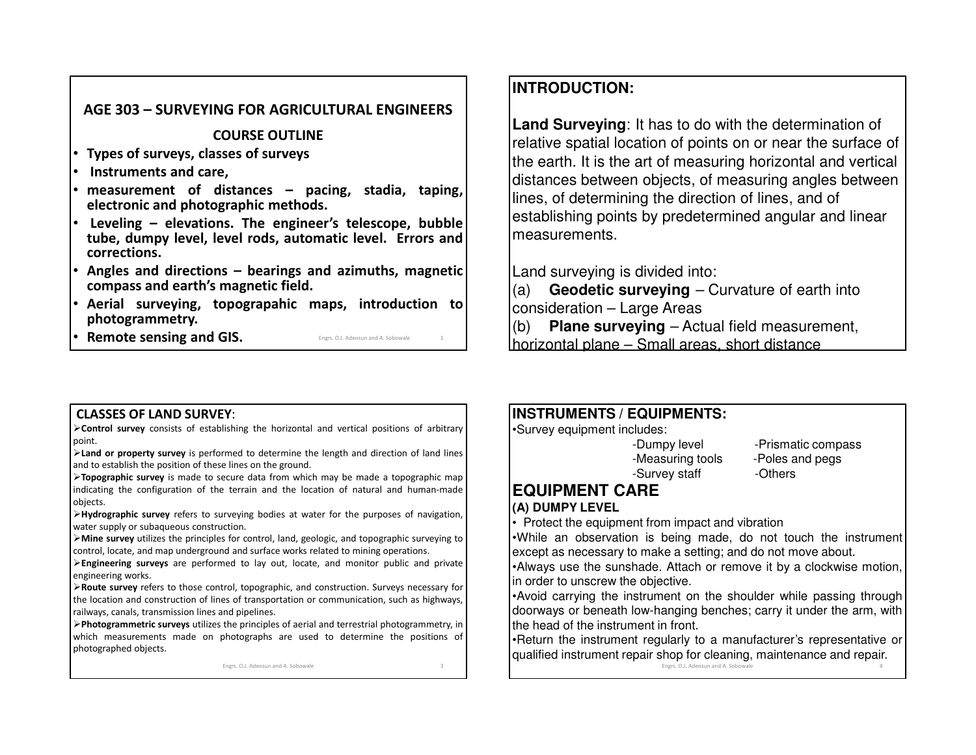#### **AGE 303 – SURVEYING FOR AGRICULTURAL ENGINEERS**

**COURSE OUTLINE**

- •**Types of surveys, classes of surveys**
- •**Instruments and care,**
- • **measurement of distances – pacing, stadia, taping, electronic and photographic methods.**
- • **Leveling – elevations. The engineer's telescope, bubble tube, dumpy level, level rods, automatic level. Errors andcorrections.**
- • **Angles and directions – bearings and azimuths, magnetic compass and earth's magnetic field.**
- • **Aerial surveying, topograpahic maps, introduction tophotogrammetry.**
- •**Remote sensing and GIS.** Engrs. O.J. Adeosun and A. Sobowale <sup>1</sup>

# **INTRODUCTION:**

**Land Surveying**: It has to do with the determination of relative spatial location of points on or near the surface of the earth. It is the art of measuring horizontal and vertical distances between objects, of measuring angles between lines, of determining the direction of lines, and of establishing points by predetermined angular and linear measurements.

Land surveying is divided into:

 (a) **Geodetic surveying** – Curvature of earth into consideration – Large Areas

 **Plane surveying** – Actual field measurement, (b)horizontal plane – Small areas, short distance

#### **CLASSES OF LAND SURVEY**:

**Control survey** consists of establishing the horizontal and vertical positions of arbitrary point.

 **Land or property survey** is performed to determine the length and direction of land lines and to establish the position of these lines on the ground.

**Topographic survey** is made to secure data from which may be made <sup>a</sup> topographic map indicating the configuration of the terrain and the location of natural and human-made objects.

 **Hydrographic survey** refers to surveying bodies at water for the purposes of navigation, water supply or subaqueous construction.

**Mine survey** utilizes the principles for control, land, geologic, and topographic surveying tocontrol, locate, and map underground and surface works related to mining operations.

**Engineering surveys** are performed to lay out, locate, and monitor public and private engineering works.

**Route survey** refers to those control, topographic, and construction. Surveys necessary for the location and construction of lines of transportation or communication, such as highways, railways, canals, transmission lines and pipelines.

**Photogrammetric surveys** utilizes the principles of aerial and terrestrial photogrammetry, in which measurements made on photographs are used to determine the positions of photographed objects.

> Engrs. O.J. Adeosun and A. Sobowalee 3

# **INSTRUMENTS / EQUIPMENTS:**

•Survey equipment includes:

-Measuring tools -Poles and pegs -Survey staff -Others

-Dumpy level -Prismatic compass

# **EQUIPMENT CARE**

# **(A) DUMPY LEVEL**

• Protect the equipment from impact and vibration

 •While an observation is being made, do not touch the instrument except as necessary to make <sup>a</sup> setting; and do not move about.

•Always use the sunshade. Attach or remove it by <sup>a</sup> clockwise motion, in order to unscrew the objective.

•Avoid carrying the instrument on the shoulder while passing through doorways or beneath low-hanging benches; carry it under the arm, with the head of the instrument in front.

•Return the instrument regularly to <sup>a</sup> manufacturer's representative orqualified instrument repair shop for cleaning, maintenance and repair.

Engrs. O.J. Adeosun and A. Sobowale $\epsilon$  and  $\epsilon$  and  $\epsilon$  and  $\epsilon$  and  $\epsilon$  and  $\epsilon$  and  $\epsilon$  and  $\epsilon$  and  $\epsilon$  and  $\epsilon$  and  $\epsilon$  and  $\epsilon$  and  $\epsilon$  and  $\epsilon$  and  $\epsilon$  and  $\epsilon$  and  $\epsilon$  and  $\epsilon$  and  $\epsilon$  and  $\epsilon$  and  $\epsilon$  and  $\epsilon$  and  $\epsilon$  and  $\epsilon$  and  $\epsilon$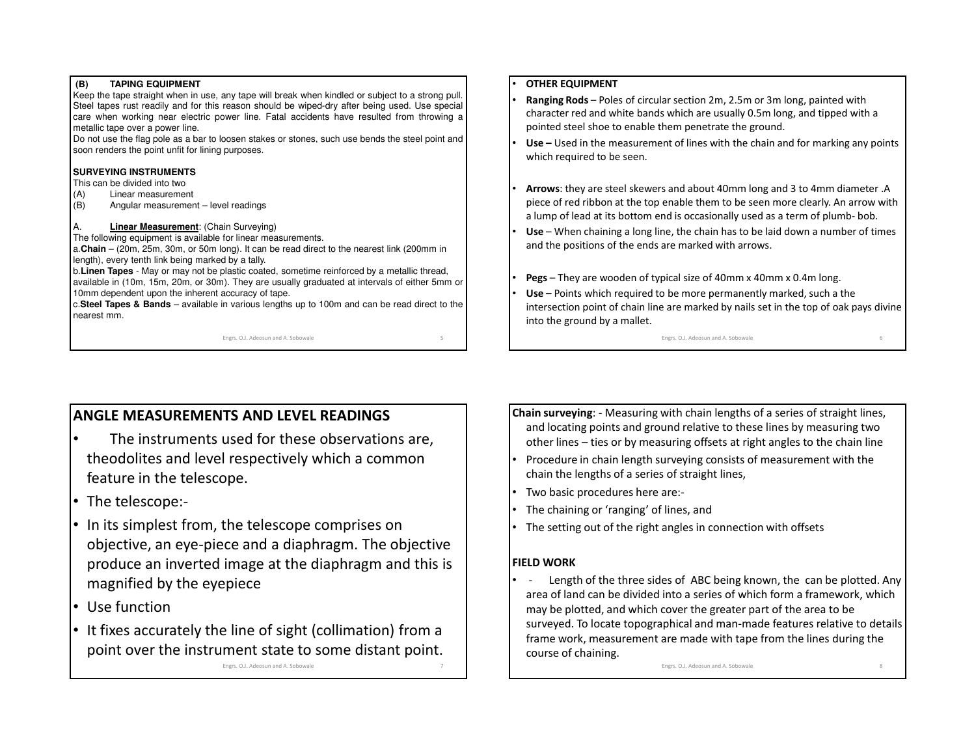#### **(B) TAPING EQUIPMENT**

 Keep the tape straight when in use, any tape will break when kindled or subject to <sup>a</sup> strong pull. Steel tapes rust readily and for this reason should be wiped-dry after being used. Use special care when working near electric power line. Fatal accidents have resulted from throwing <sup>a</sup> metallic tape over <sup>a</sup> power line.

Do not use the flag pole as <sup>a</sup> bar to loosen stakes or stones, such use bends the steel point andsoon renders the point unfit for lining purposes.

#### **SURVEYING INSTRUMENTS**

This can be divided into two

- (A) Linear measurement
- (B) Angular measurement level readings

#### A.**Linear Measurement**: (Chain Surveying)

 The following equipment is available for linear measurements. a.**Chain** – (20m, 25m, 30m, or 50m long). It can be read direct to the nearest link (200mm in length), every tenth link being marked by <sup>a</sup> tally.

b.**Linen Tapes** - May or may not be plastic coated, sometime reinforced by <sup>a</sup> metallic thread, available in (10m, 15m, 20m, or 30m). They are usually graduated at intervals of either 5mm or10mm dependent upon the inherent accuracy of tape.

c.**Steel Tapes & Bands** – available in various lengths up to 100m and can be read direct to the nearest mm.

e 5

Engrs. O.J. Adeosun and A. Sobowale

#### •**OTHER EQUIPMENT**

- • **Ranging Rods** – Poles of circular section 2m, 2.5m or 3m long, painted with character red and white bands which are usually 0.5m long, and tipped with a pointed steel shoe to enable them penetrate the ground.
- • **Use –** Used in the measurement of lines with the chain and for marking any points which required to be seen.
- • **Arrows**: they are steel skewers and about 40mm long and 3 to 4mm diameter .A piece of red ribbon at the top enable them to be seen more clearly. An arrow with a lump of lead at its bottom end is occasionally used as a term of plumb- bob.
- • **Use** – When chaining a long line, the chain has to be laid down a number of times and the positions of the ends are marked with arrows.
- •**Pegs** – They are wooden of typical size of 40mm x 40mm x 0.4m long.
- • **Use –** Points which required to be more permanently marked, such a the intersection point of chain line are marked by nails set in the top of oak pays divine into the ground by a mallet.

Engrs. O.J. Adeosun and A. Sobowale

#### e 6

# **ANGLE MEASUREMENTS AND LEVEL READINGS**

- • The instruments used for these observations are, theodolites and level respectively which a common feature in the telescope.
- The telescope:-
- In its simplest from, the telescope comprises on objective, an eye-piece and a diaphragm. The objective produce an inverted image at the diaphragm and this is magnified by the eyepiece
- Use function
- It fixes accurately the line of sight (collimation) from a point over the instrument state to some distant point.

Engrs. O.J. Adeosun and A. Sobowale $\epsilon$   $\sim$  7

- **Chain surveying**: Measuring with chain lengths of a series of straight lines, and locating points and ground relative to these lines by measuring two other lines – ties or by measuring offsets at right angles to the chain line
- • Procedure in chain length surveying consists of measurement with the chain the lengths of a series of straight lines,
- •Two basic procedures here are:-
- •The chaining or 'ranging' of lines, and
- •The setting out of the right angles in connection with offsets

#### **FIELD WORK**

 - Length of the three sides of ABC being known, the can be plotted. Any •area of land can be divided into a series of which form a framework, which may be plotted, and which cover the greater part of the area to be surveyed. To locate topographical and man-made features relative to details frame work, measurement are made with tape from the lines during the course of chaining.

Engrs. O.J. Adeosun and A. Sobowale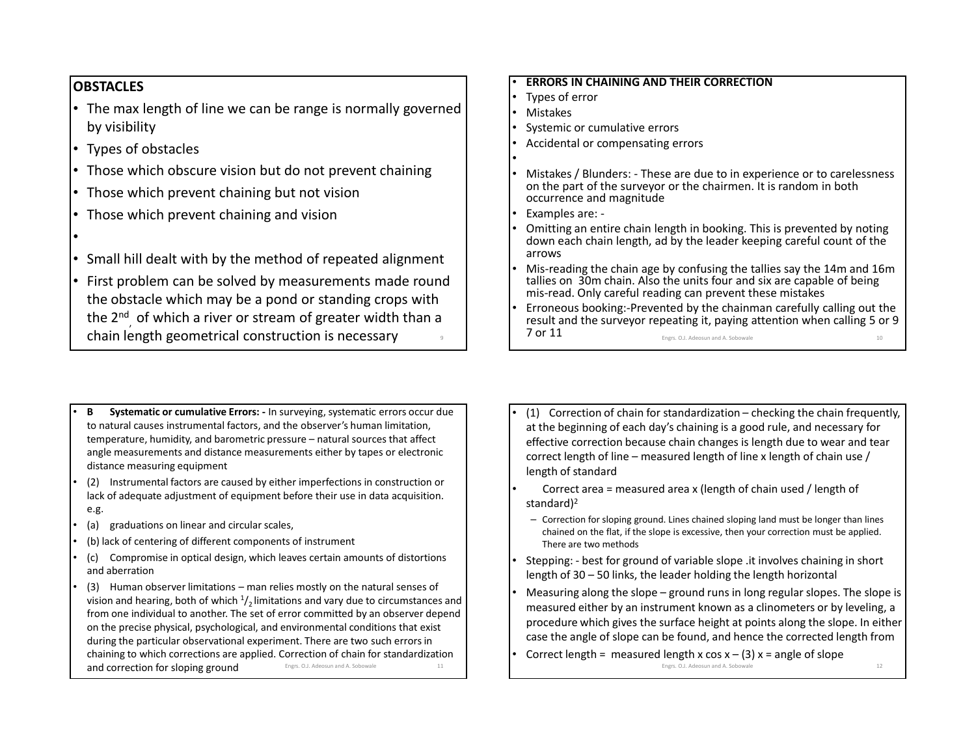# **OBSTACLES**

- • The max length of line we can be range is normally governed by visibility
- •Types of obstacles
- •Those which obscure vision but do not prevent chaining
- •Those which prevent chaining but not vision
- •Those which prevent chaining and vision
- •
- •Small hill dealt with by the method of repeated alignment
- • First problem can be solved by measurements made round the obstacle which may be a pond or standing crops with the 2<sup>nd</sup>, of which a river or stream of greater width than a chain length geometrical construction is necessary <sup>9</sup>
- •**ERRORS IN CHAINING AND THEIR CORRECTION**
- •Types of error
- •Mistakes
- Systemic or cumulative errors •
- •Accidental or compensating errors
- •
- • Mistakes / Blunders: - These are due to in experience or to carelessness on the part of the surveyor or the chairmen. It is random in both occurrence and magnitude
- •Examples are: -
- • Omitting an entire chain length in booking. This is prevented by noting down each chain length, ad by the leader keeping careful count of the arrows
- Mis-reading the chain age by confusing the tallies say the 14m and 16m •tallies on 30m chain. Also the units four and six are capable of being mis-read. Only careful reading can prevent these mistakes
- Erroneous booking:-Prevented by the chainman carefully calling out the •result and the surveyor repeating it, paying attention when calling 5 or 9 7 or 11Engrs. O.J. Adeosun and A. Sobowale

- • **<sup>B</sup> Systematic or cumulative Errors: -** In surveying, systematic errors occur due to natural causes instrumental factors, and the observer's human limitation, temperature, humidity, and barometric pressure – natural sources that affect angle measurements and distance measurements either by tapes or electronic distance measuring equipment
- • (2) Instrumental factors are caused by either imperfections in construction or lack of adequate adjustment of equipment before their use in data acquisition. e.g.
- •(a) graduations on linear and circular scales,
- •(b) lack of centering of different components of instrument
- • (c) Compromise in optical design, which leaves certain amounts of distortions and aberration
- (3) Human observer limitations man relies mostly on the natural senses of •vision and hearing, both of which  $\frac{1}{2}$  limitations and vary due to circumstances and from one individual to another. The set of error committed by an observer depend on the precise physical, psychological, and environmental conditions that exist during the particular observational experiment. There are two such errors in chaining to which corrections are applied. Correction of chain for standardization and correction for sloping groundEngrs. O.J. Adeosun and A. Sobowale 11
- • (1) Correction of chain for standardization – checking the chain frequently, at the beginning of each day's chaining is a good rule, and necessary for effective correction because chain changes is length due to wear and tear correct length of line – measured length of line x length of chain use / length of standard
- Correct area = measured area x (length of chain used / length of standard)<sup>2</sup>
	- Correction for sloping ground. Lines chained sloping land must be longer than lines chained on the flat, if the slope is excessive, then your correction must be applied. There are two methods
- • Stepping: - best for ground of variable slope .it involves chaining in short length of 30 – 50 links, the leader holding the length horizontal
- • Measuring along the slope – ground runs in long regular slopes. The slope is measured either by an instrument known as a clinometers or by leveling, a procedure which gives the surface height at points along the slope. In either case the angle of slope can be found, and hence the corrected length from
- Correct length = measured length x cos  $x (3)$  x = angle of slope Engrs. O.J. Adeosun and A. Sobowale $\epsilon$  12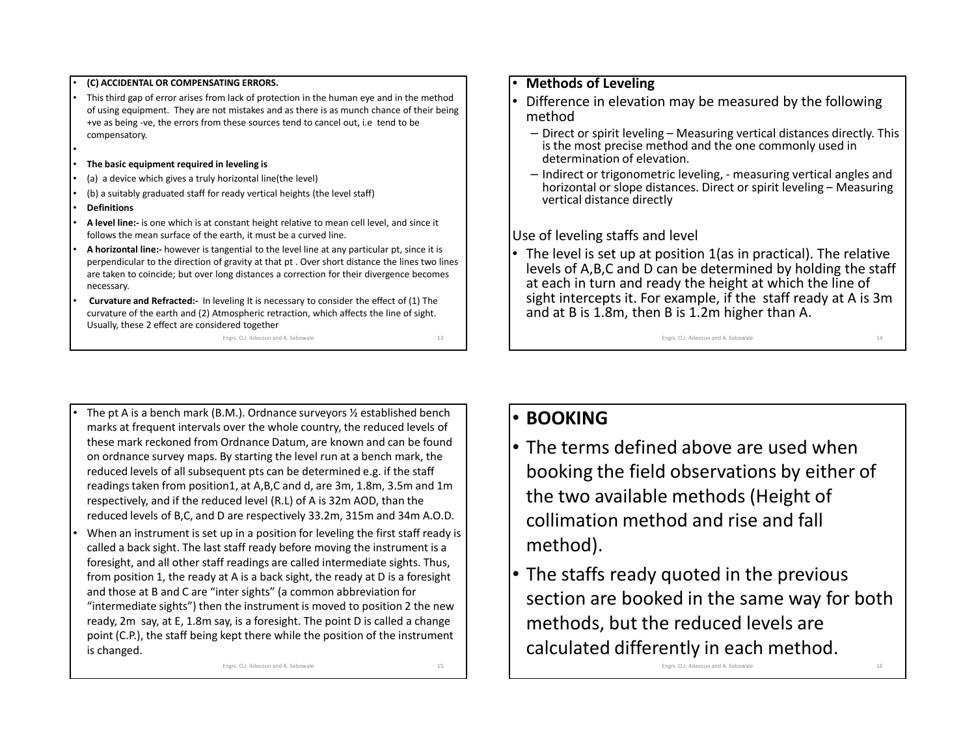#### **(C) ACCIDENTAL OR COMPENSATING ERRORS.**

- • This third gap of error arises from lack of protection in the human eye and in the method of using equipment. They are not mistakes and as there is as munch chance of their being +ve as being -ve, the errors from these sources tend to cancel out, i.e tend to be compensatory.
- •**The basic equipment required in leveling is**
- •(a) a device which gives a truly horizontal line(the level)
- •(b) a suitably graduated staff for ready vertical heights (the level staff)
- •**Definitions**

•

•

- • **A level line:-** is one which is at constant height relative to mean cell level, and since it follows the mean surface of the earth, it must be a curved line.
- • **A horizontal line:-** however is tangential to the level line at any particular pt, since it is perpendicular to the direction of gravity at that pt . Over short distance the lines two lines are taken to coincide; but over long distances a correction for their divergence becomes necessary.
- • **Curvature and Refracted:-** In leveling It is necessary to consider the effect of (1) The curvature of the earth and (2) Atmospheric retraction, which affects the line of sight. Usually, these 2 effect are considered together

 Engrs. O.J. Adeosun and A. Sobowale $\epsilon$  13

#### •**Methods of Leveling**

- Difference in elevation may be measured by the following •method
	- $-$  Direct or spirit leveling  $-$  Measuring vertical distances directly. This is the most precise mathed and the space commonly used in is the most precise method and the one commonly used in determination of elevation.
	- Indirect or trigonometric leveling, measuring vertical angles and horizontal or slope distances. Direct or spirit leveling – Measuring vertical distance directly

Use of leveling staffs and level

• The level is set up at position 1(as in practical). The relative levels of A,B,C and D can be determined by holding the staff at each in turn and ready the height at which the line of sight intercepts it. For example, if the staff ready at A is 3m and at B is 1.8m, then B is 1.2m higher than A.

Engrs. O.J. Adeosun and A. Sobowale

 $\epsilon$  14

- • The pt A is a bench mark (B.M.). Ordnance surveyors ½ established bench marks at frequent intervals over the whole country, the reduced levels of these mark reckoned from Ordnance Datum, are known and can be found on ordnance survey maps. By starting the level run at a bench mark, the reduced levels of all subsequent pts can be determined e.g. if the staff readings taken from position1, at A,B,C and d, are 3m, 1.8m, 3.5m and 1m respectively, and if the reduced level (R.L) of A is 32m AOD, than the reduced levels of B,C, and D are respectively 33.2m, 315m and 34m A.O.D. When an instrument is set up in a position for leveling the first staff ready is called a back sight. The last staff ready before moving the instrument is a foresight, and all other staff readings are called intermediate sights. Thus, from position 1, the ready at A is a back sight, the ready at D is a foresight
- and those at B and C are "inter sights" (a common abbreviation for "intermediate sights") then the instrument is moved to position 2 the new ready, 2m say, at E, 1.8m say, is a foresight. The point D is called a change point (C.P.), the staff being kept there while the position of the instrument is changed.

Engrs. O.J. Adeosun and A. Sobowale

 $15$ 

• **BOOKING**

- The terms defined above are used when booking the field observations by either of the two available methods (Height of collimation method and rise and fall method).
- The staffs ready quoted in the previous section are booked in the same way for both methods, but the reduced levels are calculated differently in each method.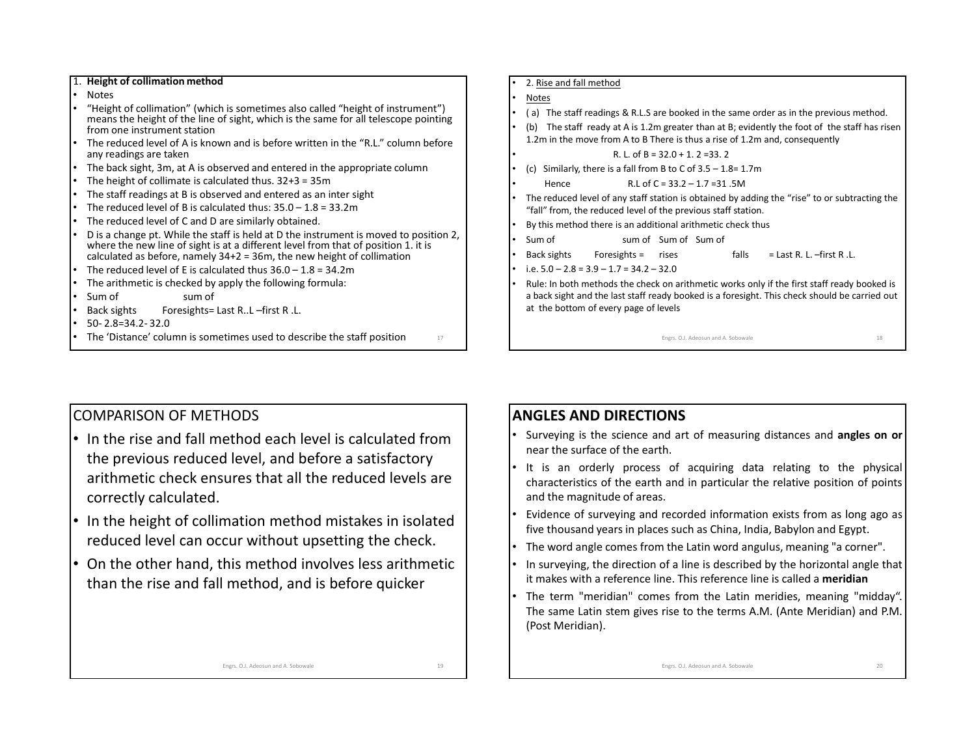#### 1. **Height of collimation method**

- •Notes
- "Height of collimation" (which is sometimes also called "height of instrument") •means the height of the line of sight, which is the same for all telescope pointing from one instrument station
- The reduced level of A is known and is before written in the "R.L." column before •any readings are taken
- The back sight, 3m, at A is observed and entered in the appropriate column•
- •The height of collimate is calculated thus. 32+3 = 35m
- The staff readings at B is observed and entered as an inter sight •
- •The reduced level of B is calculated thus:  $35.0 - 1.8 = 33.2$ m
- •The reduced level of C and D are similarly obtained.
- • D is a change pt. While the staff is held at D the instrument is moved to position 2, where the new line of sight is at a different level from that of position 1. it is calculated as before, namely 34+2 = 36m, the new height of collimation
- •The reduced level of E is calculated thus  $36.0 - 1.8 = 34.2$ m
- The arithmetic is checked by apply the following formula: •
- •
- Sum of sum of<br>Back sights Foresights= •Foresights= Last R..L –first R .L.
- •50- 2.8=34.2- 32.0
- The 'Distance' column is sometimes used to describe the staff position  $17$ •
- •2. Rise and fall method
- •Notes

•

•

•

- ( a) The staff readings & R.L.S are booked in the same order as in the previous method. •
- • (b) The staff ready at A is 1.2m greater than at B; evidently the foot of the staff has risen 1.2m in the move from A to B There is thus a rise of 1.2m and, consequently
	- R. L. of  $B = 32.0 + 1.2 = 33.2$
- (c) Similarly, there is a fall from B to C of  $3.5 1.8 = 1.7$ m •
	- Hence R.L of C = 33.2 1.7 =31 .5M
- • The reduced level of any staff station is obtained by adding the "rise" to or subtracting the "fall" from, the reduced level of the previous staff station.
- •By this method there is an additional arithmetic check thus
- • Sum of sum of Sum of Sum of
	- Back sights Foresights = rises falls = Last R. L. –first R .L.
- •i.e.  $5.0 - 2.8 = 3.9 - 1.7 = 34.2 - 32.0$
- Rule: In both methods the check on arithmetic works only if the first staff ready booked is •a back sight and the last staff ready booked is a foresight. This check should be carried out at the bottom of every page of levels

Engrs. O.J. Adeosun and A. Sobowale e 18

### COMPARISON OF METHODS

- In the rise and fall method each level is calculated from the previous reduced level, and before a satisfactory arithmetic check ensures that all the reduced levels are correctly calculated.
- In the height of collimation method mistakes in isolated reduced level can occur without upsetting the check.
- On the other hand, this method involves less arithmetic than the rise and fall method, and is before quicker

### **ANGLES AND DIRECTIONS**

- Surveying is the science and art of measuring distances and **angles on or** near the surface of the earth.
- It is an orderly process of acquiring data relating to the physical characteristics of the earth and in particular the relative position of points and the magnitude of areas.
- Evidence of surveying and recorded information exists from as long ago as<br> $f_{\text{int}}$  is the user dues rejeated values such as China, ladie. Behylan and Equation five thousand years in places such as China, India, Babylon and Egypt.
- •The word angle comes from the Latin word angulus, meaning "a corner".
- • In surveying, the direction of <sup>a</sup> line is described by the horizontal angle that it makes with <sup>a</sup> reference line. This reference line is called <sup>a</sup> **meridian**
- The term "meridian" comes from the Latin meridies, meaning "midday". The same Latin stem gives rise to the terms A.M. (Ante Meridian) and P.M. (Post Meridian).

Engrs. O.J. Adeosun and A. Sobowale

 $19$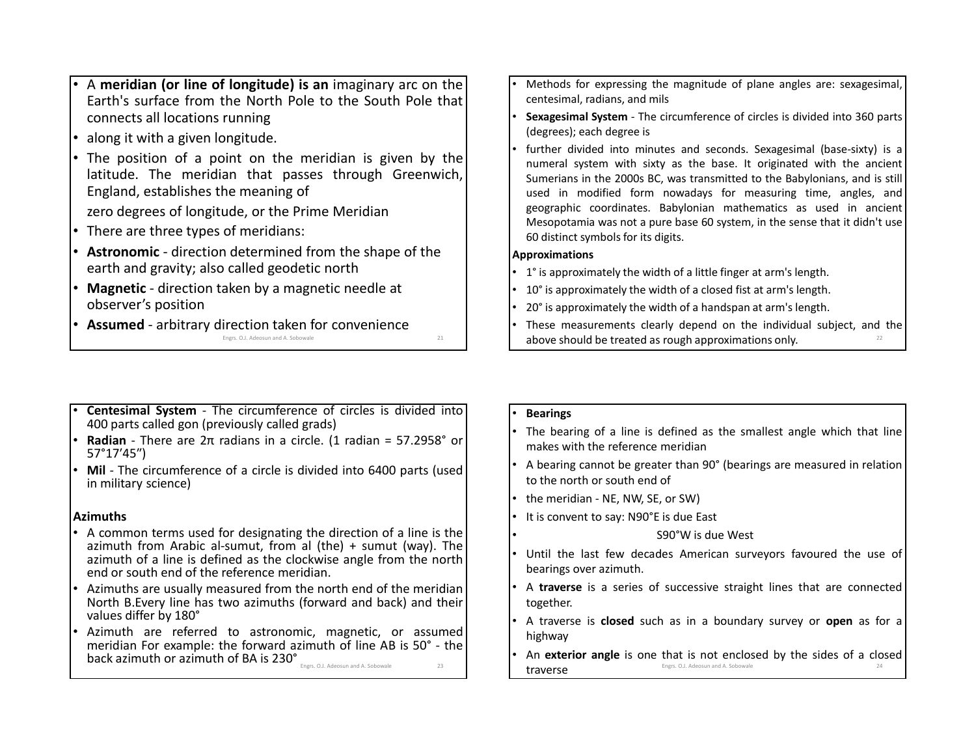- • <sup>A</sup> **meridian (or line of longitude) is an** imaginary arc on the Earth's surface from the North Pole to the South Pole that connects all locations running
- •along it with <sup>a</sup> given longitude.
- • The position of <sup>a</sup> point on the meridian is given by the latitude. The meridian that passes through Greenwich, England, establishes the meaning of

zero degrees of longitude, or the Prime Meridian

- •There are three types of meridians:
- • **Astronomic** - direction determined from the shape of the earth and gravity; also called geodetic north
- **Magnetic** direction taken by a magnetic needle at •observer's position
- **Assumed** arbitrary direction taken for convenience •Engrs. O.J. Adeosun and A. Sobowale  $\epsilon$  21
- • Methods for expressing the magnitude of plane angles are: sexagesimal, centesimal, radians, and mils
- • **Sexagesimal System** - The circumference of circles is divided into <sup>360</sup> parts (degrees); each degree is
- • further divided into minutes and seconds. Sexagesimal (base-sixty) is <sup>a</sup> numeral system with sixty as the base. It originated with the ancient Sumerians in the 2000s BC, was transmitted to the Babylonians, and is still used in modified form nowadays for measuring time, angles, and geographic coordinates. Babylonian mathematics as used in ancient Mesopotamia was not <sup>a</sup> pure base <sup>60</sup> system, in the sense that it didn't use <sup>60</sup> distinct symbols for its digits.

#### **Approximations**

- 1° is approximately the width of <sup>a</sup> little finger at arm's length.
- 10° is approximately the width of <sup>a</sup> closed fist at arm's length.
- 20° is approximately the width of <sup>a</sup> handspan at arm's length.
- These measurements clearly depend on the individual subject, and the shows should be tracted as raugh anomalizations only. above should be treated as rough approximations only.
- • **Centesimal System** - The circumference of circles is divided into <sup>400</sup> parts called gon (previously called grads)
- •• **Radian** - There are 2π radians in a circle. (1 radian = 57.2958° or 57°17′45″)
- Mil The circumference of a circle is divided into 6400 parts (used •in military science)

### **Azimuths**

- A common terms used for designating the direction of a line is the  $\frac{1}{2}$ •azimuth from Arabic al-sumut, from al (the)  $+$  sumut (way). The azimuth of <sup>a</sup> line is defined as the clockwise angle from the northend or south end of the reference meridian.
- • Azimuths are usually measured from the north end of the meridian North B.Every line has two azimuths (forward and back) and their values differ by 180°
- • Azimuth are referred to astronomic, magnetic, or assumed meridian For example: the forward azimuth of line AB is 50° - the back azimuth or azimuth of BA is 230° Engrs. O.J. Adeosun and A. Sobowalee 23

#### •**Bearings**

•

- • The bearing of <sup>a</sup> line is defined as the smallest angle which that line makes with the reference meridian
- • <sup>A</sup> bearing cannot be greater than 90° (bearings are measured in relationto the north or south end of
- •the meridian - NE, NW, SE, or SW)
- • It is convent to say: N90°E is due East
	- S90°W is due West
- • Until the last few decades American surveyors favoured the use of bearings over azimuth.
- • <sup>A</sup> **traverse** is <sup>a</sup> series of successive straight lines that are connected together.
- • <sup>A</sup> traverse is **closed** such as in <sup>a</sup> boundary survey or **open** as for <sup>a</sup> highway
- • An **exterior angle** is one that is not enclosed by the sides of <sup>a</sup> closed traverseEngrs. O.J. Adeosun and A. Sobowale 24 and 24 and 24 and 24 and 25 and 25 and 25 and 25 and 25 and 25 and 26 and 26 and 26 and 27 and 27 and 27 and 27 and 27 and 27 and 27 and 27 and 27 and 27 and 27 and 27 and 27 and 27 a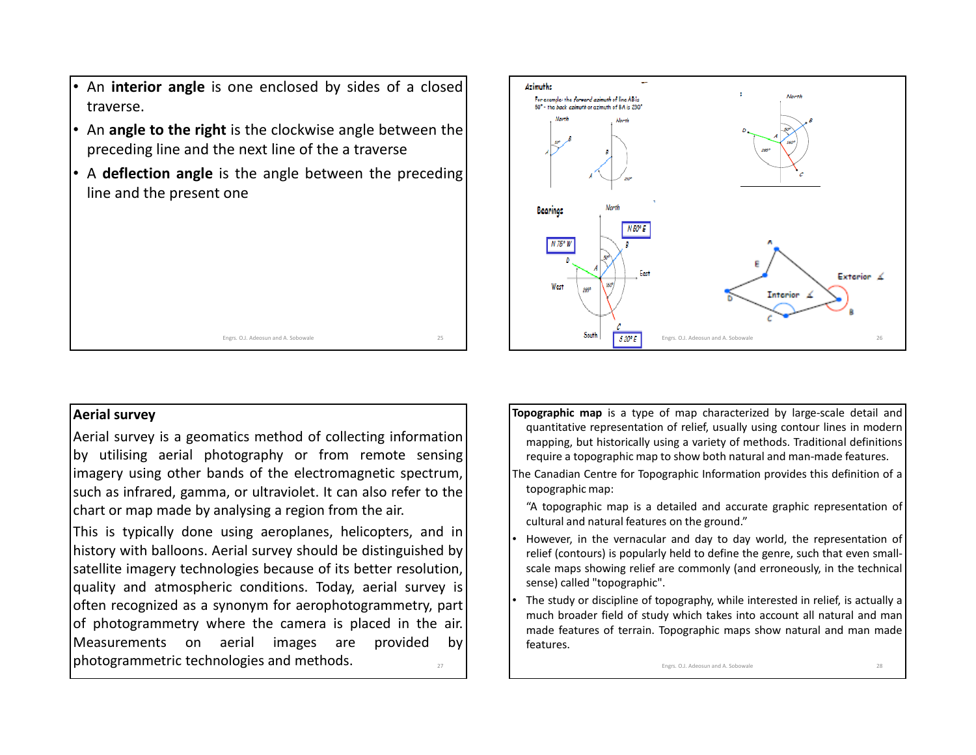- • An **interior angle** is one enclosed by sides of <sup>a</sup> closed traverse.
- An **angle to the right** is the clockwise angle between the preceding line and the next line of the <sup>a</sup> traverse
- <sup>A</sup> **deflection angle** is the angle between the preceding line and the present one

# **Azimuths** For example: the forward azimuth of line AB is 50° - the back azimuth or azimuth of RA is 230° **Bearings**  $N75°$ Exterior 4 West **Interior**  $25$  **South**  $\frac{1}{5.20^9 \text{ F}}$  Engrs. O.J. Adeosun and A. Sobowale 26

#### **Aerial survey**

Aerial survey is <sup>a</sup> geomatics method of collecting information by utilising aerial photography or from remote sensing imagery using other bands of the electromagnetic spectrum, such as infrared, gamma, or ultraviolet. It can also refer to the chart or map made by analysing <sup>a</sup> region from the air.

Engrs. O.J. Adeosun and A. Sobowale

e 25

This is typically done using aeroplanes, helicopters, and in history with balloons. Aerial survey should be distinguished by satellite imagery technologies because of its better resolution, quality and atmospheric conditions. Today, aerial survey is often recognized as <sup>a</sup> synonym for aerophotogrammetry, part of photogrammetry where the camera is placed in the air.<br>Measurements on aerial images are provided by Measurements on aerial images are provided by photogrammetric technologies and methods.

- **Topographic map** is <sup>a</sup> type of map characterized by large-scale detail and quantitative representation of relief, usually using contour lines in modern mapping, but historically using <sup>a</sup> variety of methods. Traditional definitions require <sup>a</sup> topographic map to show both natural and man-made features.
- The Canadian Centre for Topographic Information provides this definition of <sup>a</sup> topographic map:
- "A topographic map is <sup>a</sup> detailed and accurate graphic representation of cultural and natural features on the ground."
- However, in the vernacular and day to day world, the representation of relief (contours) is popularly held to define the genre, such that even smallscale maps showing relief are commonly (and erroneously, in the technical sense) called "topographic".
- The study or discipline of topography, while interested in relief, is actually <sup>a</sup> much broader field of study which takes into account all natural and man made features of terrain. Topographic maps show natural and man made features.

Engrs. O.J. Adeosun and A. Sobowal